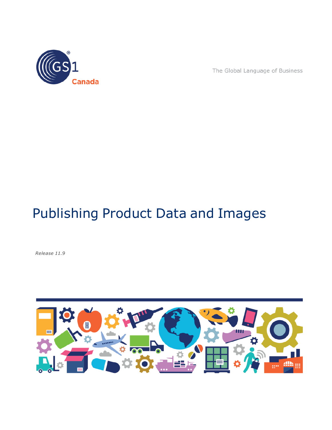

The Global Language of Business

# Publishing Product Data and Images

*Release 11.9*

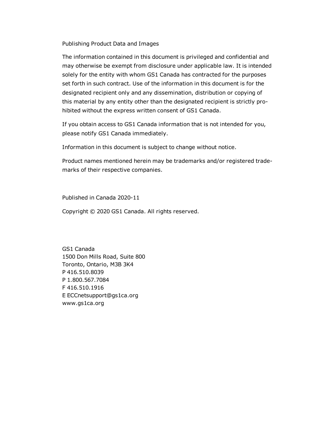Publishing Product Data and Images

The information contained in this document is privileged and confidential and may otherwise be exempt from disclosure under applicable law. It is intended solely for the entity with whom GS1 Canada has contracted for the purposes set forth in such contract. Use of the information in this document is for the designated recipient only and any dissemination, distribution or copying of this material by any entity other than the designated recipient is strictly prohibited without the express written consent of GS1 Canada.

If you obtain access to GS1 Canada information that is not intended for you, please notify GS1 Canada immediately.

Information in this document is subject to change without notice.

Product names mentioned herein may be trademarks and/or registered trademarks of their respective companies.

Published in Canada 2020-11

Copyright © 2020 GS1 Canada. All rights reserved.

GS1 Canada 1500 Don Mills Road, Suite 800 Toronto, Ontario, M3B 3K4 P 416.510.8039 P 1.800.567.7084 F 416.510.1916 E ECCnetsupport@gs1ca.org www.gs1ca.org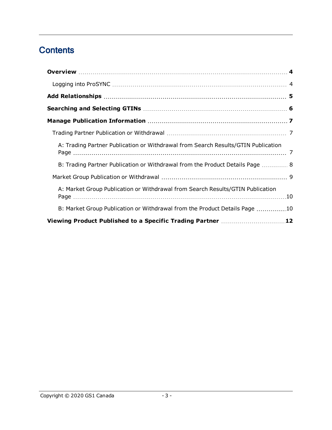# **Contents**

| A: Trading Partner Publication or Withdrawal from Search Results/GTIN Publication |  |
|-----------------------------------------------------------------------------------|--|
| B: Trading Partner Publication or Withdrawal from the Product Details Page  8     |  |
|                                                                                   |  |
| A: Market Group Publication or Withdrawal from Search Results/GTIN Publication    |  |
| B: Market Group Publication or Withdrawal from the Product Details Page 10        |  |
| Viewing Product Published to a Specific Trading Partner 12                        |  |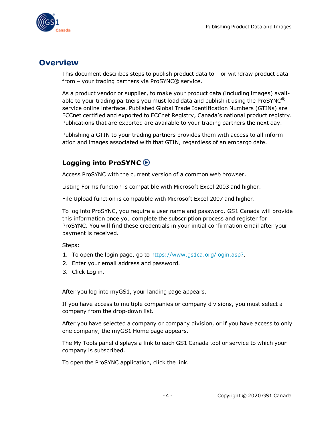

### <span id="page-3-0"></span>**Overview**

This document describes steps to publish product data to  $-$  or withdraw product data from – your trading partners via ProSYNC® service.

As a product vendor or supplier, to make your product data (including images) available to your trading partners you must load data and publish it using the ProSYNC<sup>®</sup> service online interface. Published Global Trade Identification Numbers (GTINs) are ECCnet certified and exported to ECCnet Registry, Canada's national product registry. Publications that are exported are available to your trading partners the next day.

Publishing a GTIN to your trading partners provides them with access to all information and images associated with that GTIN, regardless of an embargo date.

### <span id="page-3-1"></span>**Logging into ProSYNC**

Access ProSYNC with the current version of a common web browser.

Listing Forms function is compatible with Microsoft Excel 2003 and higher.

File Upload function is compatible with Microsoft Excel 2007 and higher.

To log into ProSYNC, you require a user name and password. GS1 Canada will provide this information once you complete the subscription process and register for ProSYNC. You will find these credentials in your initial confirmation email after your payment is received.

Steps:

- 1. To open the login page, go to <https://www.gs1ca.org/login.asp?>.
- 2. Enter your email address and password.
- 3. Click Log in.

After you log into myGS1, your landing page appears.

If you have access to multiple companies or company divisions, you must select a company from the drop-down list.

After you have selected a company or company division, or if you have access to only one company, the myGS1 Home page appears.

The My Tools panel displays a link to each GS1 Canada tool or service to which your company is subscribed.

To open the ProSYNC application, click the link.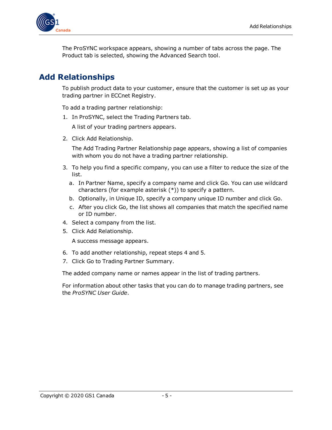

The ProSYNC workspace appears, showing a number of tabs across the page. The Product tab is selected, showing the Advanced Search tool.

# <span id="page-4-0"></span>**Add Relationships**

To publish product data to your customer, ensure that the customer is set up as your trading partner in ECCnet Registry.

To add a trading partner relationship:

1. In ProSYNC, select the Trading Partners tab.

A list of your trading partners appears.

2. Click Add Relationship.

The Add Trading Partner Relationship page appears, showing a list of companies with whom you do not have a trading partner relationship.

- 3. To help you find a specific company, you can use a filter to reduce the size of the list.
	- a. In Partner Name, specify a company name and click Go. You can use wildcard characters (for example asterisk (\*)) to specify a pattern.
	- b. Optionally, in Unique ID, specify a company unique ID number and click Go.
	- c. After you click Go, the list shows all companies that match the specified name or ID number.
- 4. Select a company from the list.
- 5. Click Add Relationship.

A success message appears.

- 6. To add another relationship, repeat steps 4 and 5.
- 7. Click Go to Trading Partner Summary.

The added company name or names appear in the list of trading partners.

For information about other tasks that you can do to manage trading partners, see the *ProSYNC User Guide*.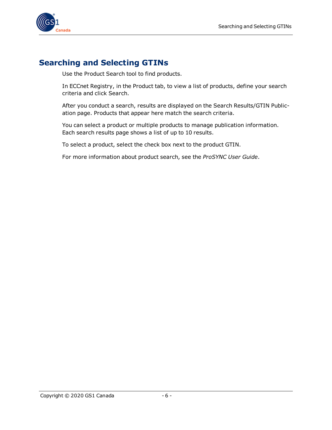

### <span id="page-5-0"></span>**Searching and Selecting GTINs**

Use the Product Search tool to find products.

In ECCnet Registry, in the Product tab, to view a list of products, define your search criteria and click Search.

After you conduct a search, results are displayed on the Search Results/GTIN Publication page. Products that appear here match the search criteria.

You can select a product or multiple products to manage publication information. Each search results page shows a list of up to 10 results.

To select a product, select the check box next to the product GTIN.

For more information about product search, see the *ProSYNC User Guide*.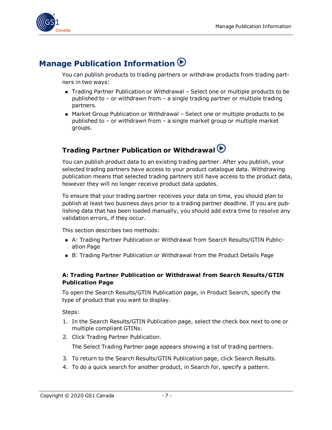

# <span id="page-6-0"></span>**Manage Publication Information**

You can publish products to trading partners or withdraw products from trading partners in two ways:

- Trading Partner Publication or Withdrawal Select one or multiple products to be published to – or withdrawn from – a single trading partner or multiple trading partners.
- Market Group Publication or Withdrawal Select one or multiple products to be published to – or withdrawn from – a single market group or multiple market groups.

# <span id="page-6-1"></span>**Trading Partner Publication or Withdrawal**

You can publish product data to an existing trading partner. After you publish, your selected trading partners have access to your product catalogue data. Withdrawing publication means that selected trading partners still have access to the product data, however they will no longer receive product data updates.

To ensure that your trading partner receives your data on time, you should plan to publish at least two business days prior to a trading partner deadline. If you are publishing data that has been loaded manually, you should add extra time to resolve any validation errors, if they occur.

This section describes two methods:

- A: Trading Partner Publication or Withdrawal from Search Results/GTIN Publication Page
- B: Trading Partner Publication or Withdrawal from the Product Details Page

#### <span id="page-6-2"></span>**A: Trading Partner Publication or Withdrawal from Search Results/GTIN Publication Page**

To open the Search Results/GTIN Publication page, in Product Search, specify the type of product that you want to display.

Steps:

- 1. In the Search Results/GTIN Publication page, select the check box next to one or multiple compliant GTINs.
- 2. Click Trading Partner Publication.

The Select Trading Partner page appears showing a list of trading partners.

- 3. To return to the Search Results/GTIN Publication page, click Search Results.
- 4. To do a quick search for another product, in Search for, specify a pattern.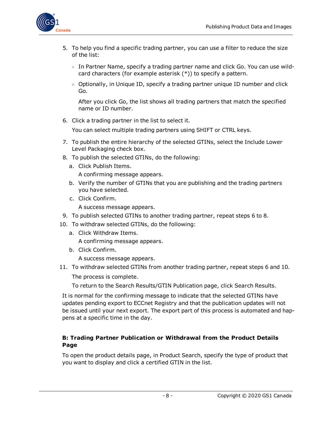

- 5. To help you find a specific trading partner, you can use a filter to reduce the size of the list:
	- $\circ$  In Partner Name, specify a trading partner name and click Go. You can use wildcard characters (for example asterisk (\*)) to specify a pattern.
	- <sup>o</sup> Optionally, in Unique ID, specify a trading partner unique ID number and click Go.

After you click Go, the list shows all trading partners that match the specified name or ID number.

6. Click a trading partner in the list to select it.

You can select multiple trading partners using SHIFT or CTRL keys.

- 7. To publish the entire hierarchy of the selected GTINs, select the Include Lower Level Packaging check box.
- 8. To publish the selected GTINs, do the following:
	- a. Click Publish Items.

A confirming message appears.

- b. Verify the number of GTINs that you are publishing and the trading partners you have selected.
- c. Click Confirm.

A success message appears.

- 9. To publish selected GTINs to another trading partner, repeat steps 6 to 8.
- 10. To withdraw selected GTINs, do the following:
	- a. Click Withdraw Items.

A confirming message appears.

b. Click Confirm.

A success message appears.

11. To withdraw selected GTINs from another trading partner, repeat steps 6 and 10.

The process is complete.

To return to the Search Results/GTIN Publication page, click Search Results.

It is normal for the confirming message to indicate that the selected GTINs have updates pending export to ECCnet Registry and that the publication updates will not be issued until your next export. The export part of this process is automated and happens at a specific time in the day.

#### <span id="page-7-0"></span>**B: Trading Partner Publication or Withdrawal from the Product Details Page**

To open the product details page, in Product Search, specify the type of product that you want to display and click a certified GTIN in the list.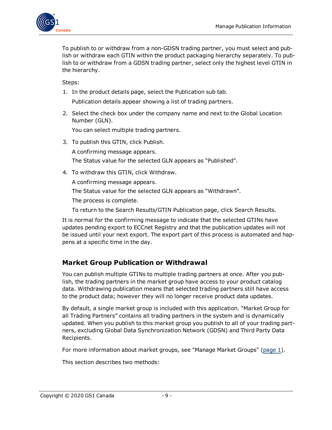

To publish to or withdraw from a non-GDSN trading partner, you must select and publish or withdraw each GTIN within the product packaging hierarchy separately. To publish to or withdraw from a GDSN trading partner, select only the highest level GTIN in the hierarchy.

Steps:

1. In the product details page, select the Publication sub tab.

Publication details appear showing a list of trading partners.

2. Select the check box under the company name and next to the Global Location Number (GLN).

You can select multiple trading partners.

3. To publish this GTIN, click Publish. A confirming message appears.

The Status value for the selected GLN appears as "Published".

4. To withdraw this GTIN, click Withdraw.

A confirming message appears.

The Status value for the selected GLN appears as "Withdrawn".

The process is complete.

To return to the Search Results/GTIN Publication page, click Search Results.

It is normal for the confirming message to indicate that the selected GTINs have updates pending export to ECCnet Registry and that the publication updates will not be issued until your next export. The export part of this process is automated and happens at a specific time in the day.

#### <span id="page-8-0"></span>**Market Group Publication or Withdrawal**

You can publish multiple GTINs to multiple trading partners at once. After you publish, the trading partners in the market group have access to your product catalog data. Withdrawing publication means that selected trading partners still have access to the product data; however they will no longer receive product data updates.

By default, a single market group is included with this application. "Market Group for all Trading Partners" contains all trading partners in the system and is dynamically updated. When you publish to this market group you publish to all of your trading partners, excluding Global Data Synchronization Network (GDSN) and Third Party Data Recipients.

For more information about market groups, see "Manage Market Groups" (page 1).

This section describes two methods: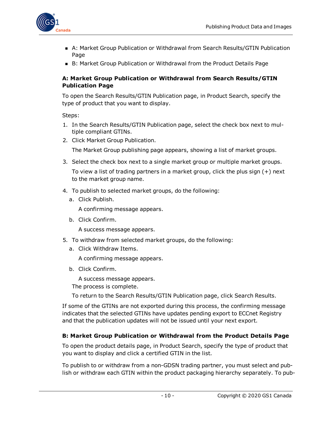

- A: Market Group Publication or Withdrawal from Search Results/GTIN Publication Page
- B: Market Group Publication or Withdrawal from the Product Details Page

#### <span id="page-9-0"></span>**A: Market Group Publication or Withdrawal from Search Results/GTIN Publication Page**

To open the Search Results/GTIN Publication page, in Product Search, specify the type of product that you want to display.

Steps:

- 1. In the Search Results/GTIN Publication page, select the check box next to multiple compliant GTINs.
- 2. Click Market Group Publication. The Market Group publishing page appears, showing a list of market groups.
- 3. Select the check box next to a single market group or multiple market groups.

To view a list of trading partners in a market group, click the plus sign (+) next to the market group name.

- 4. To publish to selected market groups, do the following:
	- a. Click Publish.

A confirming message appears.

b. Click Confirm.

A success message appears.

- 5. To withdraw from selected market groups, do the following:
	- a. Click Withdraw Items.

A confirming message appears.

b. Click Confirm.

A success message appears.

The process is complete.

To return to the Search Results/GTIN Publication page, click Search Results.

If some of the GTINs are not exported during this process, the confirming message indicates that the selected GTINs have updates pending export to ECCnet Registry and that the publication updates will not be issued until your next export.

#### <span id="page-9-1"></span>**B: Market Group Publication or Withdrawal from the Product Details Page**

To open the product details page, in Product Search, specify the type of product that you want to display and click a certified GTIN in the list.

To publish to or withdraw from a non-GDSN trading partner, you must select and publish or withdraw each GTIN within the product packaging hierarchy separately. To pub-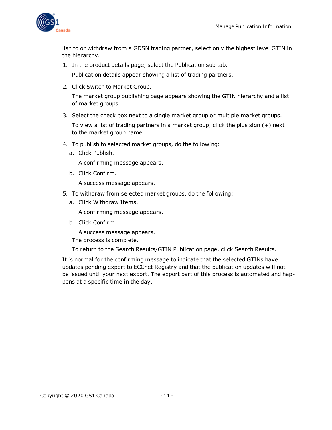

lish to or withdraw from a GDSN trading partner, select only the highest level GTIN in the hierarchy.

- 1. In the product details page, select the Publication sub tab. Publication details appear showing a list of trading partners.
- 2. Click Switch to Market Group.

The market group publishing page appears showing the GTIN hierarchy and a list of market groups.

3. Select the check box next to a single market group or multiple market groups.

To view a list of trading partners in a market group, click the plus sign (+) next to the market group name.

- 4. To publish to selected market groups, do the following:
	- a. Click Publish.

A confirming message appears.

b. Click Confirm.

A success message appears.

- 5. To withdraw from selected market groups, do the following:
	- a. Click Withdraw Items.

A confirming message appears.

b. Click Confirm.

A success message appears.

The process is complete.

To return to the Search Results/GTIN Publication page, click Search Results.

It is normal for the confirming message to indicate that the selected GTINs have updates pending export to ECCnet Registry and that the publication updates will not be issued until your next export. The export part of this process is automated and happens at a specific time in the day.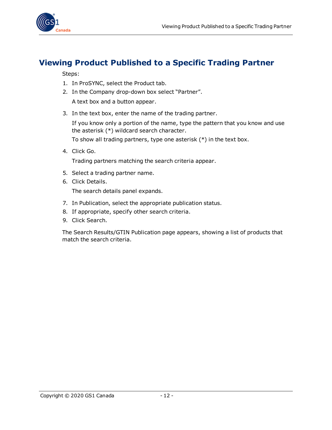

## <span id="page-11-0"></span>**Viewing Product Published to a Specific Trading Partner**

Steps:

- 1. In ProSYNC, select the Product tab.
- 2. In the Company drop-down box select "Partner". A text box and a button appear.
- 3. In the text box, enter the name of the trading partner.

If you know only a portion of the name, type the pattern that you know and use the asterisk (\*) wildcard search character.

To show all trading partners, type one asterisk (\*) in the text box.

4. Click Go.

Trading partners matching the search criteria appear.

- 5. Select a trading partner name.
- 6. Click Details.

The search details panel expands.

- 7. In Publication, select the appropriate publication status.
- 8. If appropriate, specify other search criteria.
- 9. Click Search.

The Search Results/GTIN Publication page appears, showing a list of products that match the search criteria.